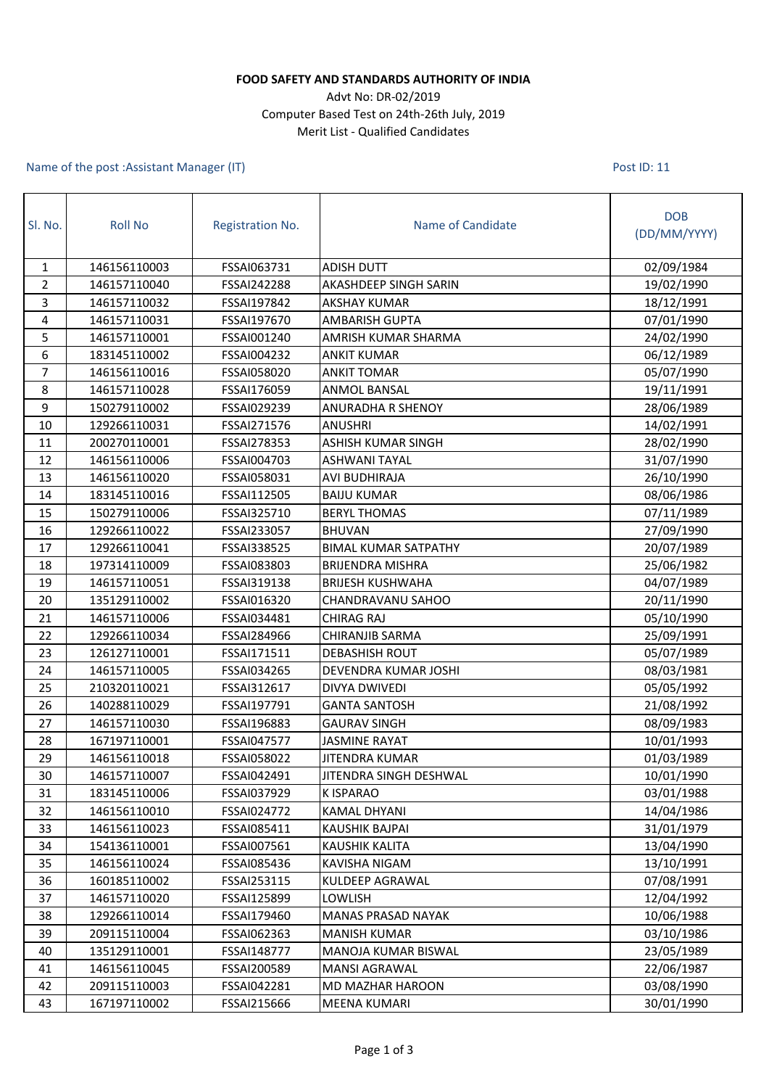## **FOOD SAFETY AND STANDARDS AUTHORITY OF INDIA**

## Advt No: DR-02/2019 Computer Based Test on 24th-26th July, 2019 Merit List - Qualified Candidates

Name of the post :Assistant Manager (IT)

Post ID: 11

| Sl. No.        | <b>Roll No</b> | <b>Registration No.</b> | Name of Candidate           | <b>DOB</b><br>(DD/MM/YYYY) |
|----------------|----------------|-------------------------|-----------------------------|----------------------------|
| $\mathbf{1}$   | 146156110003   | FSSAI063731             | <b>ADISH DUTT</b>           | 02/09/1984                 |
| $\overline{2}$ | 146157110040   | FSSAI242288             | AKASHDEEP SINGH SARIN       | 19/02/1990                 |
| 3              | 146157110032   | FSSAI197842             | <b>AKSHAY KUMAR</b>         | 18/12/1991                 |
| 4              | 146157110031   | FSSAI197670             | <b>AMBARISH GUPTA</b>       | 07/01/1990                 |
| 5              | 146157110001   | FSSAI001240             | AMRISH KUMAR SHARMA         | 24/02/1990                 |
| 6              | 183145110002   | FSSAI004232             | <b>ANKIT KUMAR</b>          | 06/12/1989                 |
| $\overline{7}$ | 146156110016   | FSSAI058020             | <b>ANKIT TOMAR</b>          | 05/07/1990                 |
| 8              | 146157110028   | FSSAI176059             | <b>ANMOL BANSAL</b>         | 19/11/1991                 |
| 9              | 150279110002   | FSSAI029239             | ANURADHA R SHENOY           | 28/06/1989                 |
| 10             | 129266110031   | FSSAI271576             | <b>ANUSHRI</b>              | 14/02/1991                 |
| 11             | 200270110001   | FSSAI278353             | ASHISH KUMAR SINGH          | 28/02/1990                 |
| 12             | 146156110006   | FSSAI004703             | <b>ASHWANI TAYAL</b>        | 31/07/1990                 |
| 13             | 146156110020   | FSSAI058031             | AVI BUDHIRAJA               | 26/10/1990                 |
| 14             | 183145110016   | FSSAI112505             | <b>BAIJU KUMAR</b>          | 08/06/1986                 |
| 15             | 150279110006   | FSSAI325710             | <b>BERYL THOMAS</b>         | 07/11/1989                 |
| 16             | 129266110022   | FSSAI233057             | <b>BHUVAN</b>               | 27/09/1990                 |
| 17             | 129266110041   | FSSAI338525             | <b>BIMAL KUMAR SATPATHY</b> | 20/07/1989                 |
| 18             | 197314110009   | FSSAI083803             | <b>BRIJENDRA MISHRA</b>     | 25/06/1982                 |
| 19             | 146157110051   | FSSAI319138             | <b>BRIJESH KUSHWAHA</b>     | 04/07/1989                 |
| 20             | 135129110002   | FSSAI016320             | CHANDRAVANU SAHOO           | 20/11/1990                 |
| 21             | 146157110006   | FSSAI034481             | <b>CHIRAG RAJ</b>           | 05/10/1990                 |
| 22             | 129266110034   | FSSAI284966             | CHIRANJIB SARMA             | 25/09/1991                 |
| 23             | 126127110001   | FSSAI171511             | <b>DEBASHISH ROUT</b>       | 05/07/1989                 |
| 24             | 146157110005   | FSSAI034265             | DEVENDRA KUMAR JOSHI        | 08/03/1981                 |
| 25             | 210320110021   | FSSAI312617             | DIVYA DWIVEDI               | 05/05/1992                 |
| 26             | 140288110029   | FSSAI197791             | <b>GANTA SANTOSH</b>        | 21/08/1992                 |
| 27             | 146157110030   | FSSAI196883             | <b>GAURAV SINGH</b>         | 08/09/1983                 |
| 28             | 167197110001   | FSSAI047577             | <b>JASMINE RAYAT</b>        | 10/01/1993                 |
| 29             | 146156110018   | FSSAI058022             | <b>JITENDRA KUMAR</b>       | 01/03/1989                 |
| 30             | 146157110007   | FSSAI042491             | JITENDRA SINGH DESHWAL      | 10/01/1990                 |
| 31             | 183145110006   | FSSAI037929             | K ISPARAO                   | 03/01/1988                 |
| 32             | 146156110010   | FSSAI024772             | KAMAL DHYANI                | 14/04/1986                 |
| 33             | 146156110023   | FSSAI085411             | KAUSHIK BAJPAI              | 31/01/1979                 |
| 34             | 154136110001   | FSSAI007561             | KAUSHIK KALITA              | 13/04/1990                 |
| 35             | 146156110024   | FSSAI085436             | KAVISHA NIGAM               | 13/10/1991                 |
| 36             | 160185110002   | FSSAI253115             | KULDEEP AGRAWAL             | 07/08/1991                 |
| 37             | 146157110020   | FSSAI125899             | LOWLISH                     | 12/04/1992                 |
| 38             | 129266110014   | FSSAI179460             | <b>MANAS PRASAD NAYAK</b>   | 10/06/1988                 |
| 39             | 209115110004   | FSSAI062363             | <b>MANISH KUMAR</b>         | 03/10/1986                 |
| 40             | 135129110001   | FSSAI148777             | MANOJA KUMAR BISWAL         | 23/05/1989                 |
| 41             | 146156110045   | FSSAI200589             | <b>MANSI AGRAWAL</b>        | 22/06/1987                 |
| 42             | 209115110003   | FSSAI042281             | MD MAZHAR HAROON            | 03/08/1990                 |
| 43             | 167197110002   | FSSAI215666             | <b>MEENA KUMARI</b>         | 30/01/1990                 |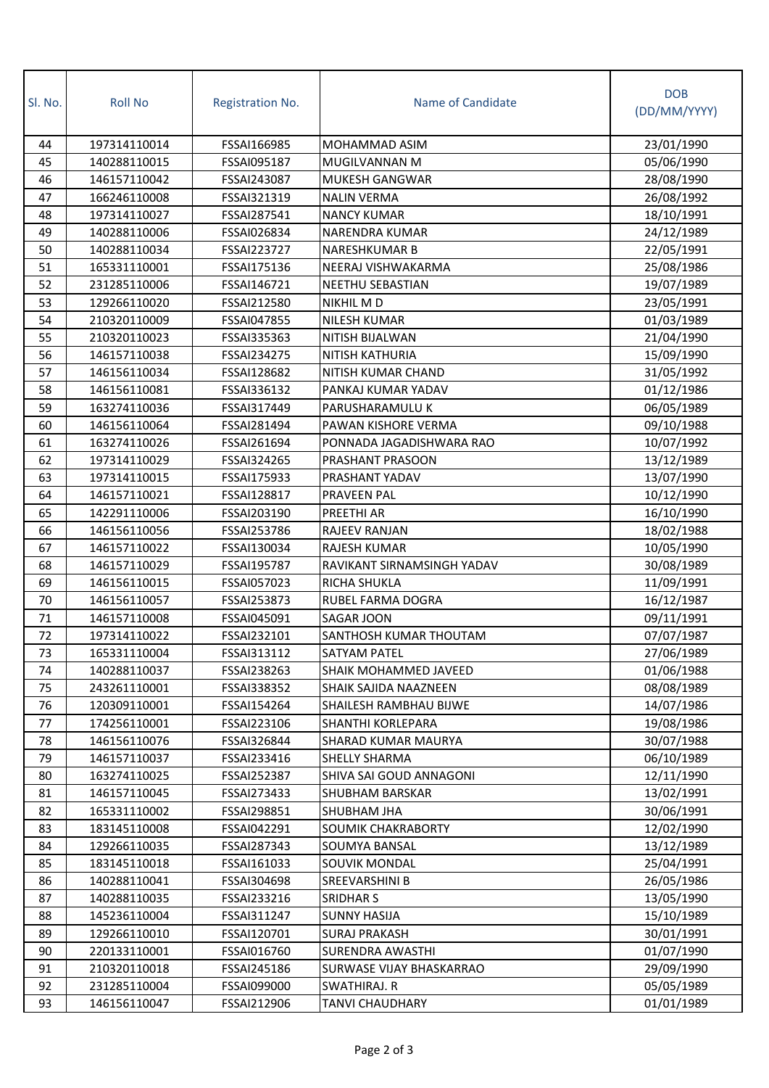| SI. No. | <b>Roll No</b> | <b>Registration No.</b> | Name of Candidate          | <b>DOB</b><br>(DD/MM/YYYY) |
|---------|----------------|-------------------------|----------------------------|----------------------------|
| 44      | 197314110014   | FSSAI166985             | <b>MOHAMMAD ASIM</b>       | 23/01/1990                 |
| 45      | 140288110015   | FSSAI095187             | MUGILVANNAN M              | 05/06/1990                 |
| 46      | 146157110042   | FSSAI243087             | <b>MUKESH GANGWAR</b>      | 28/08/1990                 |
| 47      | 166246110008   | FSSAI321319             | <b>NALIN VERMA</b>         | 26/08/1992                 |
| 48      | 197314110027   | FSSAI287541             | <b>NANCY KUMAR</b>         | 18/10/1991                 |
| 49      | 140288110006   | FSSAI026834             | <b>NARENDRA KUMAR</b>      | 24/12/1989                 |
| 50      | 140288110034   | FSSAI223727             | <b>NARESHKUMAR B</b>       | 22/05/1991                 |
| 51      | 165331110001   | FSSAI175136             | NEERAJ VISHWAKARMA         | 25/08/1986                 |
| 52      | 231285110006   | FSSAI146721             | <b>NEETHU SEBASTIAN</b>    | 19/07/1989                 |
| 53      | 129266110020   | FSSAI212580             | NIKHIL M D                 | 23/05/1991                 |
| 54      | 210320110009   | FSSAI047855             | NILESH KUMAR               | 01/03/1989                 |
| 55      | 210320110023   | FSSAI335363             | NITISH BIJALWAN            | 21/04/1990                 |
| 56      | 146157110038   | FSSAI234275             | NITISH KATHURIA            | 15/09/1990                 |
| 57      | 146156110034   | FSSAI128682             | NITISH KUMAR CHAND         | 31/05/1992                 |
| 58      | 146156110081   | FSSAI336132             | PANKAJ KUMAR YADAV         | 01/12/1986                 |
| 59      | 163274110036   | FSSAI317449             | PARUSHARAMULU K            | 06/05/1989                 |
| 60      | 146156110064   | FSSAI281494             | PAWAN KISHORE VERMA        | 09/10/1988                 |
| 61      | 163274110026   | FSSAI261694             | PONNADA JAGADISHWARA RAO   | 10/07/1992                 |
| 62      | 197314110029   | FSSAI324265             | PRASHANT PRASOON           | 13/12/1989                 |
| 63      | 197314110015   | FSSAI175933             | PRASHANT YADAV             | 13/07/1990                 |
| 64      | 146157110021   | FSSAI128817             | PRAVEEN PAL                | 10/12/1990                 |
| 65      | 142291110006   | FSSAI203190             | PREETHI AR                 | 16/10/1990                 |
| 66      | 146156110056   | FSSAI253786             | RAJEEV RANJAN              | 18/02/1988                 |
| 67      | 146157110022   | FSSAI130034             | RAJESH KUMAR               | 10/05/1990                 |
| 68      | 146157110029   | FSSAI195787             | RAVIKANT SIRNAMSINGH YADAV | 30/08/1989                 |
| 69      | 146156110015   | FSSAI057023             | RICHA SHUKLA               | 11/09/1991                 |
| 70      | 146156110057   | FSSAI253873             | RUBEL FARMA DOGRA          | 16/12/1987                 |
| 71      | 146157110008   | FSSAI045091             | SAGAR JOON                 | 09/11/1991                 |
| 72      | 197314110022   | FSSAI232101             | SANTHOSH KUMAR THOUTAM     | 07/07/1987                 |
| 73      | 165331110004   | FSSAI313112             | SATYAM PATEL               | 27/06/1989                 |
| 74      | 140288110037   | FSSAI238263             | SHAIK MOHAMMED JAVEED      | 01/06/1988                 |
| 75      | 243261110001   | FSSAI338352             | SHAIK SAJIDA NAAZNEEN      | 08/08/1989                 |
| 76      | 120309110001   | FSSAI154264             | SHAILESH RAMBHAU BIJWE     | 14/07/1986                 |
| 77      | 174256110001   | FSSAI223106             | SHANTHI KORLEPARA          | 19/08/1986                 |
| 78      | 146156110076   | FSSAI326844             | SHARAD KUMAR MAURYA        | 30/07/1988                 |
| 79      | 146157110037   | FSSAI233416             | SHELLY SHARMA              | 06/10/1989                 |
| 80      | 163274110025   | FSSAI252387             | SHIVA SAI GOUD ANNAGONI    | 12/11/1990                 |
| 81      | 146157110045   | FSSAI273433             | SHUBHAM BARSKAR            | 13/02/1991                 |
| 82      | 165331110002   | FSSAI298851             | SHUBHAM JHA                | 30/06/1991                 |
| 83      | 183145110008   | FSSAI042291             | SOUMIK CHAKRABORTY         | 12/02/1990                 |
| 84      | 129266110035   | FSSAI287343             | SOUMYA BANSAL              | 13/12/1989                 |
| 85      | 183145110018   | FSSAI161033             | SOUVIK MONDAL              | 25/04/1991                 |
| 86      | 140288110041   | FSSAI304698             | SREEVARSHINI B             | 26/05/1986                 |
| 87      | 140288110035   | FSSAI233216             | SRIDHAR S                  | 13/05/1990                 |
| 88      | 145236110004   | FSSAI311247             | <b>SUNNY HASIJA</b>        | 15/10/1989                 |
| 89      | 129266110010   | FSSAI120701             | SURAJ PRAKASH              | 30/01/1991                 |
| 90      | 220133110001   | FSSAI016760             | SURENDRA AWASTHI           | 01/07/1990                 |
| 91      | 210320110018   | FSSAI245186             | SURWASE VIJAY BHASKARRAO   | 29/09/1990                 |
| 92      | 231285110004   | FSSAI099000             | SWATHIRAJ. R               | 05/05/1989                 |
| 93      | 146156110047   | FSSAI212906             | TANVI CHAUDHARY            | 01/01/1989                 |